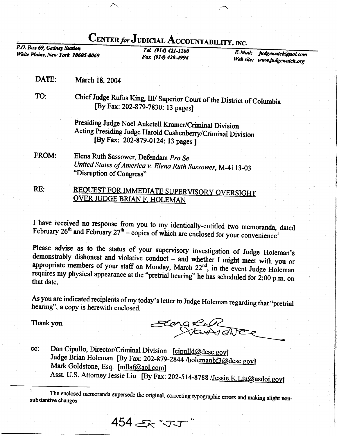## CENTER for JUDICIAL ACCOUNTABILITY, INC.

P.O. Box 69, Gedney Station White Plains, New York 10605-0069

Tel. (914) 421-1200 Fax (914) 428-4994

 $E$ -Mail: judgewatch@aol.com Web site: www.judgewatch.org

DATE: March 18, 2004

TO:

Chief Judge Rufus King, III/ Superior Court of the District of Columbia [By Fax: 202-879-7830: 13 pages]

Presiding Judge Noel Anketell Kramer/Criminal Division Acting Presiding Judge Harold Cushenberry/Criminal Division [By Fax: 202-879-0124: 13 pages ]

Elena Ruth Sassower, Defendant Pro Se FROM: United States of America v. Elena Ruth Sassower, M-4113-03 "Disruption of Congress"

REQUEST FOR IMMEDIATE SUPERVISORY OVERSIGHT RE: **OVER JUDGE BRIAN F. HOLEMAN** 

I have received no response from you to my identically-entitled two memoranda, dated February  $26^{\text{th}}$  and February  $27^{\text{th}}$  – copies of which are enclosed for your convenience<sup>1</sup>.

Please advise as to the status of your supervisory investigation of Judge Holeman's demonstrably dishonest and violative conduct - and whether I might meet with you or appropriate members of your staff on Monday, March 22<sup>nd</sup>, in the event Judge Holeman requires my physical appearance at the "pretrial hearing" he has scheduled for 2:00 p.m. on that date.

As you are indicated recipients of my today's letter to Judge Holeman regarding that "pretrial hearing", a copy is herewith enclosed.

Thank you.

Elena Rull

Dan Cipullo, Director/Criminal Division [cipulld@dcsc.gov] cc: Judge Brian Holeman [By Fax: 202-879-2844 /holemanbf3@dcsc.gov] Mark Goldstone, Esq. [mllaf@aol.com] Asst. U.S. Attorney Jessie Liu [By Fax: 202-514-8788 /Jessie.K.Liu@usdoj.gov]

454 天·丁丁

The enclosed memoranda supersede the original, correcting typographic errors and making slight nonsubstantive changes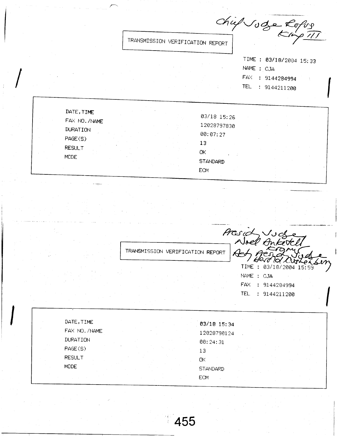Chief Joge Lofog TRANSMISSION VERIFICATION REPORT TIME : 03/18/2004 15:33 NAME : CJA FAX : 9144284994 TEL : 9144211200 DATE, TIME 03/18 15:26 FAX NO. /NAME 12028797830 **DURATION** 00:07:27 PAGE(S)  $13$ **RESULT** ΟK **MODE STANDARD ECM** 

TRANSMISSION VERIFICATION REPORT

Presid Vud

TIME : 03/18/2004 15:59 NAME : CJA FAX : 9144284994 TEL : 9144211200

| DATE, TIME      |  | 03/18 15:34     |  |  |
|-----------------|--|-----------------|--|--|
| FAX NO. /NAME   |  | 12028790124     |  |  |
| <b>DURATION</b> |  | 00:24:31        |  |  |
| PAGE(S)         |  | 13              |  |  |
| <b>RESULT</b>   |  | ΟK              |  |  |
| <b>MODE</b>     |  | <b>STANDARD</b> |  |  |
|                 |  | <b>ECM</b>      |  |  |